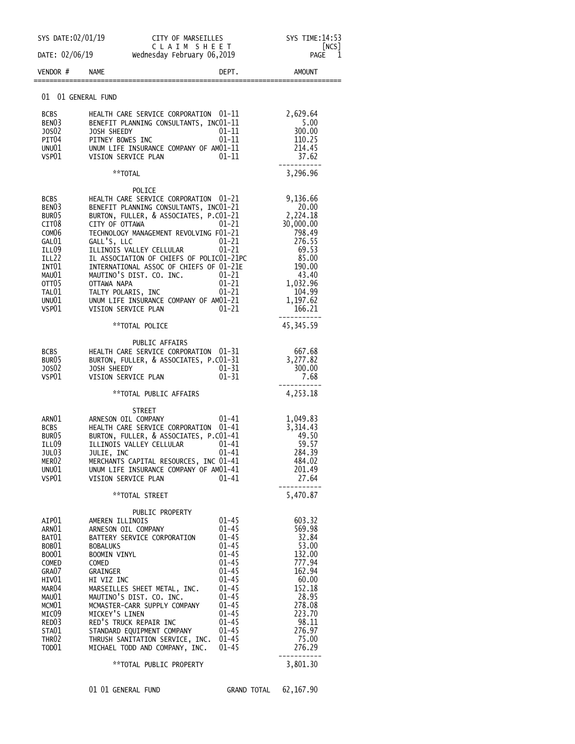| SYS DATE:02/01/19                                                                                                                                                                                        |                                                                                                                                                                                                                | CITY OF MARSEILLES                                                                                                                                                                                                                                                                                                                                                     |                                                                                                                                                                                                              | SYS TIME: 14:53<br>[NCS]                                                                                                                               |
|----------------------------------------------------------------------------------------------------------------------------------------------------------------------------------------------------------|----------------------------------------------------------------------------------------------------------------------------------------------------------------------------------------------------------------|------------------------------------------------------------------------------------------------------------------------------------------------------------------------------------------------------------------------------------------------------------------------------------------------------------------------------------------------------------------------|--------------------------------------------------------------------------------------------------------------------------------------------------------------------------------------------------------------|--------------------------------------------------------------------------------------------------------------------------------------------------------|
| DATE: 02/06/19                                                                                                                                                                                           |                                                                                                                                                                                                                | CLAIM SHEET<br>Wednesday February 06,2019                                                                                                                                                                                                                                                                                                                              |                                                                                                                                                                                                              | PAGE<br>1                                                                                                                                              |
| VENDOR #                                                                                                                                                                                                 | <b>NAME</b>                                                                                                                                                                                                    |                                                                                                                                                                                                                                                                                                                                                                        | DEPT.                                                                                                                                                                                                        | <b>AMOUNT</b>                                                                                                                                          |
| 01 01 GENERAL FUND                                                                                                                                                                                       |                                                                                                                                                                                                                |                                                                                                                                                                                                                                                                                                                                                                        |                                                                                                                                                                                                              |                                                                                                                                                        |
| <b>BCBS</b><br>BEN <sub>03</sub><br>J0S02<br>PIT04<br>UNU01<br>VSP01                                                                                                                                     | HEALTH CARE SERVICE CORPORATION 01-11<br>BENEFIT PLANNING CONSULTANTS, INCO1-11<br>01-11<br>JOSH SHEEDY<br>01-11<br>PITNEY BOWES INC<br>UNUM LIFE INSURANCE COMPANY OF AM01-11<br>01-11<br>VISION SERVICE PLAN |                                                                                                                                                                                                                                                                                                                                                                        |                                                                                                                                                                                                              | 2,629.64<br>5.00<br>300.00<br>110.25<br>214.45<br>37.62                                                                                                |
|                                                                                                                                                                                                          |                                                                                                                                                                                                                | **TOTAL                                                                                                                                                                                                                                                                                                                                                                |                                                                                                                                                                                                              | 3,296.96                                                                                                                                               |
| <b>BCBS</b><br>BEN <sub>03</sub><br>BUR <sub>05</sub><br>CIT <sub>08</sub><br>COM <sub>06</sub><br>GAL01<br><b>ILL09</b><br>ILL22<br>INT01<br>MAU01<br>OTT05<br>TAL01<br>UNU01<br>VSP01                  | CITY OF OTTAWA<br>GALL'S, LLC<br>OTTAWA NAPA<br>TALTY POLARIS, INC<br>VISION SERVICE PLAN                                                                                                                      | POLICE<br>HEALTH CARE SERVICE CORPORATION 01-21<br>BENEFIT PLANNING CONSULTANTS, INC01-21<br>BURTON, FULLER, & ASSOCIATES, P.CO1-21<br>TECHNOLOGY MANAGEMENT REVOLVING F01-21<br>ILLINOIS VALLEY CELLULAR<br>IL ASSOCIATION OF CHIEFS OF POLICO1-21PC<br>INTERNATIONAL ASSOC OF CHIEFS OF 01-21E<br>MAUTINO'S DIST. CO. INC.<br>UNUM LIFE INSURANCE COMPANY OF AM01-21 | $01 - 21$<br>$01 - 21$<br>$01 - 21$<br>$01 - 21$<br>01-21<br>$01 - 21$<br>01-21                                                                                                                              | 9,136.66<br>20.00<br>2,224.18<br>30,000.00<br>798.49<br>276.55<br>69.53<br>85.00<br>190.00<br>43.40<br>1,032.96<br>104.99<br>1,197.62<br>166.21        |
|                                                                                                                                                                                                          |                                                                                                                                                                                                                | **TOTAL POLICE                                                                                                                                                                                                                                                                                                                                                         |                                                                                                                                                                                                              | 45, 345.59                                                                                                                                             |
| BCBS<br>BUR <sub>05</sub><br>J0S02<br>VSP01                                                                                                                                                              | JOSH SHEEDY                                                                                                                                                                                                    | PUBLIC AFFAIRS<br>HEALTH CARE SERVICE CORPORATION 01-31<br>BURTON, FULLER, & ASSOCIATES, P.CO1-31<br>VISION SERVICE PLAN                                                                                                                                                                                                                                               | $01 - 31$<br>$01 - 31$                                                                                                                                                                                       | 667.68<br>3,277.82<br>300.00<br>7.68                                                                                                                   |
|                                                                                                                                                                                                          |                                                                                                                                                                                                                | **TOTAL PUBLIC AFFAIRS                                                                                                                                                                                                                                                                                                                                                 |                                                                                                                                                                                                              | 4,253.18                                                                                                                                               |
| ARNO1<br>BCBS<br>BUR <sub>05</sub><br>ILL09<br>JUL03<br>MER <sub>02</sub><br>UNU01<br>VSP01                                                                                                              | JULIE, INC                                                                                                                                                                                                     | <b>STREET</b><br>ARNESON OIL COMPANY<br>HEALTH CARE SERVICE CORPORATION<br>BURTON, FULLER, & ASSOCIATES, P.CO1-41<br>ILLINOIS VALLEY CELLULAR<br>MERCHANTS CAPITAL RESOURCES, INC 01-41<br>UNUM LIFE INSURANCE COMPANY OF AM01-41<br>VISION SERVICE PLAN                                                                                                               | 01-41<br>$01 - 41$<br>01-41<br>01-41<br>01-41                                                                                                                                                                | 1,049.83<br>3,314.43<br>49.50<br>59.57<br>284.39<br>484.02<br>201.49<br>27.64                                                                          |
|                                                                                                                                                                                                          |                                                                                                                                                                                                                | **TOTAL STREET                                                                                                                                                                                                                                                                                                                                                         |                                                                                                                                                                                                              | 5,470.87                                                                                                                                               |
| AIP01<br>ARN01<br>BAT01<br>BOB01<br>B0001<br>COMED<br>GRA07<br>HIV01<br>MAR <sub>04</sub><br>MAU01<br>MCM <sub>01</sub><br>MICO9<br>RED <sub>03</sub><br>STA01<br>THR <sub>02</sub><br>TOD <sub>01</sub> | AMEREN ILLINOIS<br><b>BOBALUKS</b><br><b>BOOMIN VINYL</b><br>COMED<br>GRAINGER<br>HI VIZ INC<br>MICKEY'S LINEN                                                                                                 | PUBLIC PROPERTY<br>ARNESON OIL COMPANY<br>BATTERY SERVICE CORPORATION<br>MARSEILLES SHEET METAL, INC.<br>MAUTINO'S DIST. CO. INC.<br>MCMASTER-CARR SUPPLY COMPANY<br>RED'S TRUCK REPAIR INC<br>STANDARD EQUIPMENT COMPANY<br>THRUSH SANITATION SERVICE, INC.<br>MICHAEL TODD AND COMPANY, INC.                                                                         | $01 - 45$<br>$01 - 45$<br>$01 - 45$<br>$01 - 45$<br>$01 - 45$<br>$01 - 45$<br>$01 - 45$<br>$01 - 45$<br>$01 - 45$<br>$01 - 45$<br>$01 - 45$<br>$01 - 45$<br>$01 - 45$<br>$01 - 45$<br>$01 - 45$<br>$01 - 45$ | 603.32<br>569.98<br>32.84<br>53.00<br>132.00<br>777.94<br>162.94<br>60.00<br>152.18<br>28.95<br>278.08<br>223.70<br>98.11<br>276.97<br>75.00<br>276.29 |
|                                                                                                                                                                                                          |                                                                                                                                                                                                                | **TOTAL PUBLIC PROPERTY                                                                                                                                                                                                                                                                                                                                                |                                                                                                                                                                                                              | 3,801.30                                                                                                                                               |
|                                                                                                                                                                                                          | 01 01 GENERAL FUND                                                                                                                                                                                             |                                                                                                                                                                                                                                                                                                                                                                        | GRAND TOTAL                                                                                                                                                                                                  | 62, 167.90                                                                                                                                             |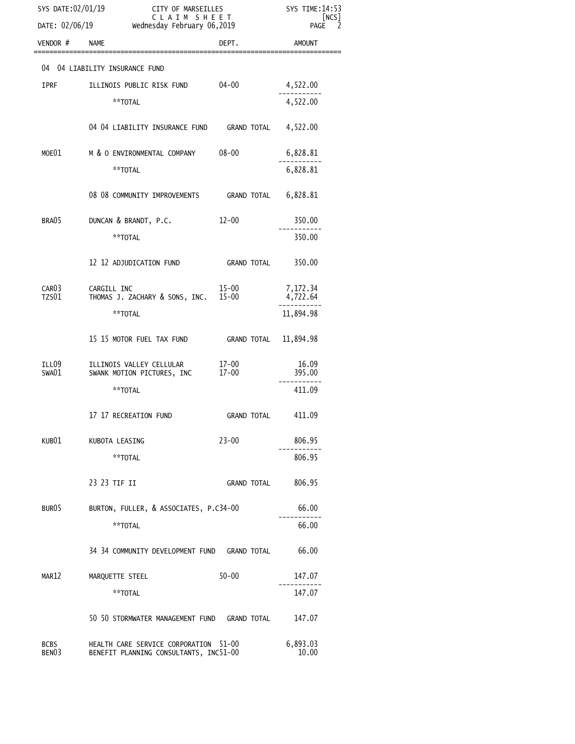| SYS DATE:02/01/19                |                                                                                 | CITY OF MARSEILLES<br>CLAIM SHEET |                      |
|----------------------------------|---------------------------------------------------------------------------------|-----------------------------------|----------------------|
|                                  | DATE: 02/06/19 Wednesday February 06,2019                                       |                                   | [NCS]<br>PAGE        |
| VENDOR #                         | <b>NAME</b>                                                                     | DEPT.                             | <b>AMOUNT</b>        |
|                                  | 04 04 LIABILITY INSURANCE FUND                                                  |                                   |                      |
| <b>IPRF</b>                      | ILLINOIS PUBLIC RISK FUND                                                       | $04 - 00$                         | 4,522.00             |
|                                  | **TOTAL                                                                         |                                   | 4,522.00             |
|                                  | 04 04 LIABILITY INSURANCE FUND GRAND TOTAL 4,522.00                             |                                   |                      |
| MOE01                            | M & O ENVIRONMENTAL COMPANY 08-00                                               |                                   | 6,828.81             |
|                                  | **TOTAL                                                                         |                                   | 6,828.81             |
|                                  | 08 08 COMMUNITY IMPROVEMENTS GRAND TOTAL 6,828.81                               |                                   |                      |
| BRA05                            | DUNCAN & BRANDT, P.C.                                                           | $12 - 00$                         | 350.00               |
|                                  | **TOTAL                                                                         |                                   | 350.00               |
|                                  | 12 12 ADJUDICATION FUND                                                         | GRAND TOTAL                       | 350.00               |
| CAR <sub>03</sub><br>TZS01       | CARGILL INC<br>THOMAS J. ZACHARY & SONS, INC. 15-00                             | 15-00                             | 7,172.34<br>4,722.64 |
|                                  | **TOTAL                                                                         |                                   | 11,894.98            |
|                                  | 15 15 MOTOR FUEL TAX FUND GRAND TOTAL                                           |                                   | 11,894.98            |
| ILL09<br>SWA01                   | ILLINOIS VALLEY CELLULAR<br>SWANK MOTION PICTURES, INC                          | 17-00<br>$17 - 00$                | 16.09<br>395.00      |
|                                  | **TOTAL                                                                         |                                   | 411.09               |
|                                  | 17 17 RECREATION FUND                                                           | GRAND TOTAL           411.09      |                      |
| KUB01                            | KUBOTA LEASING                                                                  | $23 - 00$                         | 806.95               |
|                                  | **TOTAL                                                                         |                                   | 806.95               |
|                                  | 23 23 TIF II                                                                    | GRAND TOTAL                       | 806.95               |
| BUR <sub>05</sub>                | BURTON, FULLER, & ASSOCIATES, P.C34-00                                          | 66.00                             |                      |
|                                  | **TOTAL                                                                         |                                   | 66.00                |
|                                  | 34 34 COMMUNITY DEVELOPMENT FUND GRAND TOTAL                                    |                                   | 66.00                |
| MAR12                            | MARQUETTE STEEL                                                                 | $50 - 00$                         | 147.07               |
|                                  | **TOTAL                                                                         |                                   | 147.07               |
|                                  | 50 50 STORMWATER MANAGEMENT FUND GRAND TOTAL                                    |                                   | 147.07               |
| <b>BCBS</b><br>BEN <sub>03</sub> | HEALTH CARE SERVICE CORPORATION 51-00<br>BENEFIT PLANNING CONSULTANTS, INC51-00 |                                   | 6,893.03<br>10.00    |